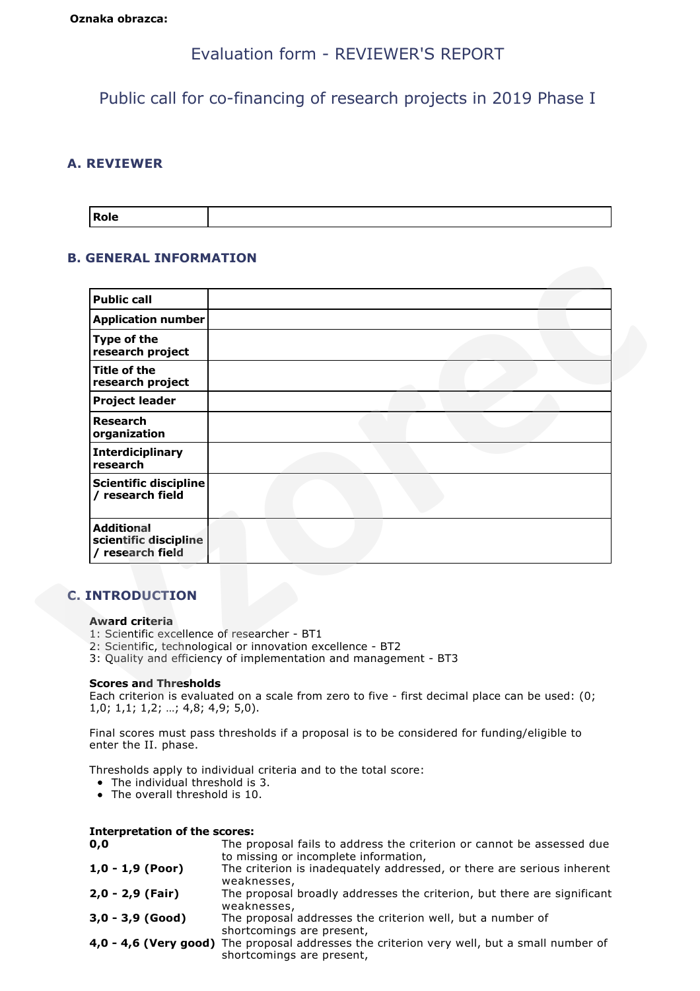# Evaluation form - REVIEWER'S REPORT

Public call for co-financing of research projects in 2019 Phase I

# **A. REVIEWER**

| <b>Role</b> |  |
|-------------|--|
|             |  |

# **B. GENERAL INFORMATION**

| <b>Application number</b><br>Type of the<br>research project<br><b>Title of the</b><br>research project<br><b>Project leader</b><br><b>Research</b><br>organization<br><b>Interdiciplinary</b><br>research<br><b>Scientific discipline</b><br>/ research field<br><b>Additional</b><br>scientific discipline<br>/ research field |  |
|----------------------------------------------------------------------------------------------------------------------------------------------------------------------------------------------------------------------------------------------------------------------------------------------------------------------------------|--|
|                                                                                                                                                                                                                                                                                                                                  |  |
|                                                                                                                                                                                                                                                                                                                                  |  |
|                                                                                                                                                                                                                                                                                                                                  |  |
|                                                                                                                                                                                                                                                                                                                                  |  |
|                                                                                                                                                                                                                                                                                                                                  |  |
|                                                                                                                                                                                                                                                                                                                                  |  |
|                                                                                                                                                                                                                                                                                                                                  |  |
|                                                                                                                                                                                                                                                                                                                                  |  |
| <b>C. INTRODUCTION</b><br><b>Award criteria</b><br>1: Scientific excellence of researcher - BT1<br>2: Scientific, technological or innovation excellence - BT2<br>3: Quality and efficiency of implementation and management - BT3                                                                                               |  |
| <b>Scores and Thresholds</b>                                                                                                                                                                                                                                                                                                     |  |

# **C. INTRODUCTION**

### **Award criteria**

- 1: Scientific excellence of researcher BT1
- 2: Scientific, technological or innovation excellence BT2
- 3: Quality and efficiency of implementation and management BT3

### **Scores and Thresholds**

Final scores must pass thresholds if a proposal is to be considered for funding/eligible to enter the II. phase.

Thresholds apply to individual criteria and to the total score:

- The individual threshold is 3.
- The overall threshold is 10.

| <b>Interpretation of the scores:</b> |                                                                                                                          |
|--------------------------------------|--------------------------------------------------------------------------------------------------------------------------|
| 0,0                                  | The proposal fails to address the criterion or cannot be assessed due<br>to missing or incomplete information,           |
| $1,0 - 1,9$ (Poor)                   | The criterion is inadequately addressed, or there are serious inherent<br>weaknesses,                                    |
| $2,0 - 2,9$ (Fair)                   | The proposal broadly addresses the criterion, but there are significant<br>weaknesses,                                   |
| $3,0 - 3,9$ (Good)                   | The proposal addresses the criterion well, but a number of<br>shortcomings are present,                                  |
|                                      | 4,0 - 4,6 (Very good) The proposal addresses the criterion very well, but a small number of<br>shortcomings are present, |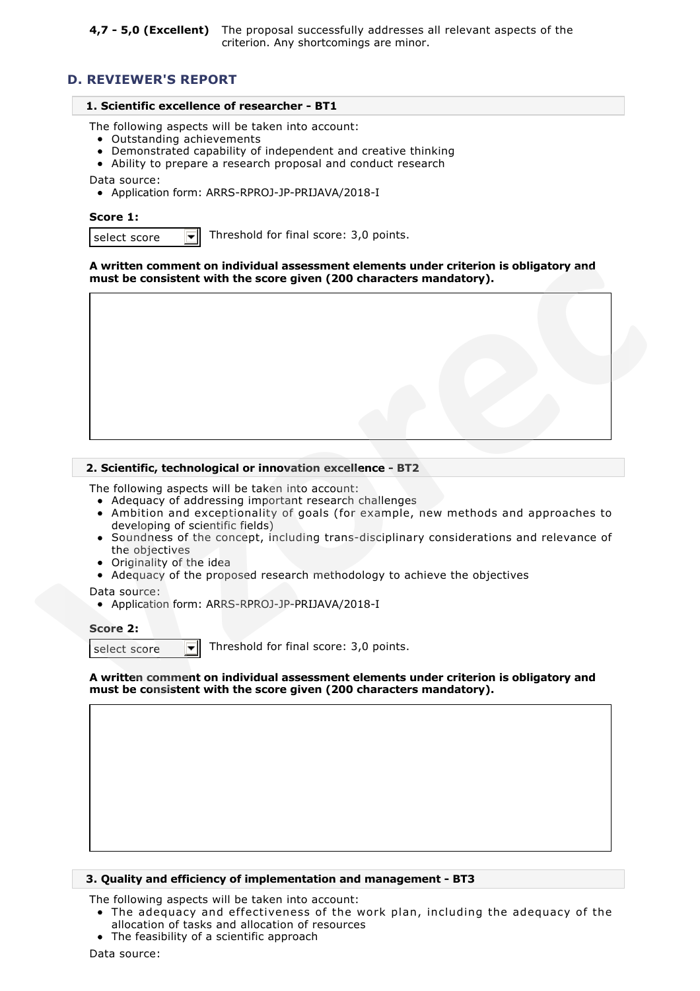# **D. REVIEWER'S REPORT**

### **1. Scientific excellence of researcher - BT1**

The following aspects will be taken into account:

- Outstanding achievements
- Demonstrated capability of independent and creative thinking
- Ability to prepare a research proposal and conduct research

Data source:

Application form: ARRS-RPROJ-JP-PRIJAVA/2018-I

#### **Score 1:**

select score  $\|\mathbf{v}\|$  Threshold for final score: 3,0 points.

### **A written comment on individual assessment elements under criterion is obligatory and must be consistent with the score given (200 characters mandatory).**



### **2. Scientific, technological or innovation excellence - BT2**

The following aspects will be taken into account:

- Adequacy of addressing important research challenges
- Ambition and exceptionality of goals (for example, new methods and approaches to developing of scientific fields)
- Soundness of the concept, including trans-disciplinary considerations and relevance of the objectives
- Originality of the idea
- Adequacy of the proposed research methodology to achieve the objectives

Data source:

Application form: ARRS-RPROJ-JP-PRIJAVA/2018-I

#### **Score 2:**

select score  $\overline{\bullet}$  Threshold for final score: 3,0 points.

**A written comment on individual assessment elements under criterion is obligatory and must be consistent with the score given (200 characters mandatory).**

#### **3. Quality and efficiency of implementation and management - BT3**

The following aspects will be taken into account:

- The adequacy and effectiveness of the work plan, including the adequacy of the allocation of tasks and allocation of resources
- The feasibility of a scientific approach